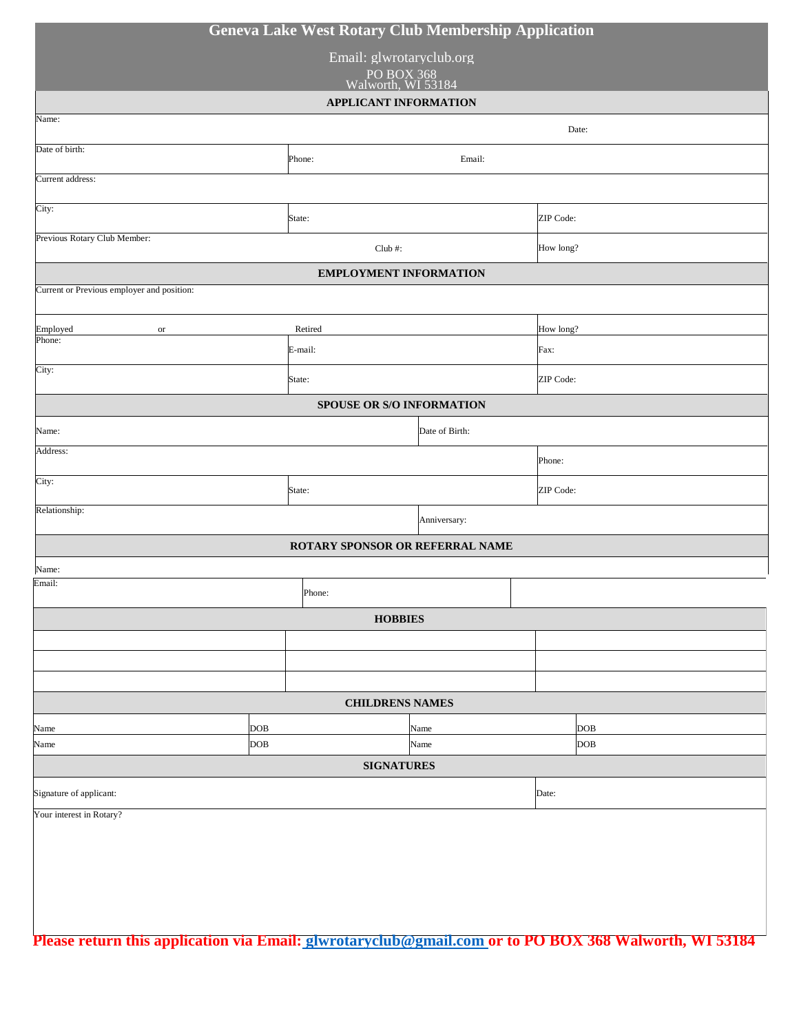| <b>Geneva Lake West Rotary Club Membership Application</b> |                  |      |           |           |  |  |
|------------------------------------------------------------|------------------|------|-----------|-----------|--|--|
| Email: glwrotaryclub.org                                   |                  |      |           |           |  |  |
| PO BOX 368<br>Walworth, WI 53184                           |                  |      |           |           |  |  |
| <b>APPLICANT INFORMATION</b>                               |                  |      |           |           |  |  |
| Name:                                                      |                  |      |           | Date:     |  |  |
| Date of birth:                                             | Phone:<br>Email: |      |           |           |  |  |
| Current address:                                           |                  |      |           |           |  |  |
| City:                                                      | State:           |      | ZIP Code: |           |  |  |
| Previous Rotary Club Member:                               | Club#:           |      | How long? |           |  |  |
| <b>EMPLOYMENT INFORMATION</b>                              |                  |      |           |           |  |  |
| Current or Previous employer and position:                 |                  |      |           |           |  |  |
| Employed<br>$\hbox{or}$                                    | Retired          |      |           | How long? |  |  |
| Phone:                                                     | E-mail:          |      | Fax:      |           |  |  |
| City:                                                      | State:           |      | ZIP Code: |           |  |  |
| SPOUSE OR S/O INFORMATION                                  |                  |      |           |           |  |  |
| Date of Birth:<br>Name:                                    |                  |      |           |           |  |  |
| Address:                                                   |                  |      | Phone:    |           |  |  |
| City:                                                      | State:           |      |           | ZIP Code: |  |  |
| Relationship:<br>Anniversary:                              |                  |      |           |           |  |  |
| ROTARY SPONSOR OR REFERRAL NAME                            |                  |      |           |           |  |  |
| Name:                                                      |                  |      |           |           |  |  |
| Email:                                                     | Phone:           |      |           |           |  |  |
| <b>HOBBIES</b>                                             |                  |      |           |           |  |  |
|                                                            |                  |      |           |           |  |  |
|                                                            |                  |      |           |           |  |  |
| <b>CHILDRENS NAMES</b>                                     |                  |      |           |           |  |  |
| DOB<br>Name                                                |                  | Name |           | DOB       |  |  |
| DOB<br>Name                                                |                  | Name |           | DOB       |  |  |
| <b>SIGNATURES</b>                                          |                  |      |           |           |  |  |
| Signature of applicant:                                    |                  |      | Date:     |           |  |  |
| Your interest in Rotary?                                   |                  |      |           |           |  |  |
|                                                            |                  |      |           |           |  |  |
|                                                            |                  |      |           |           |  |  |
|                                                            |                  |      |           |           |  |  |
|                                                            |                  |      |           |           |  |  |

**Please return this application via Email: [glwrotaryclub@gmail.com o](mailto:%20glwrotaryclub@gmail.com)r to PO BOX 368 Walworth, WI 53184**